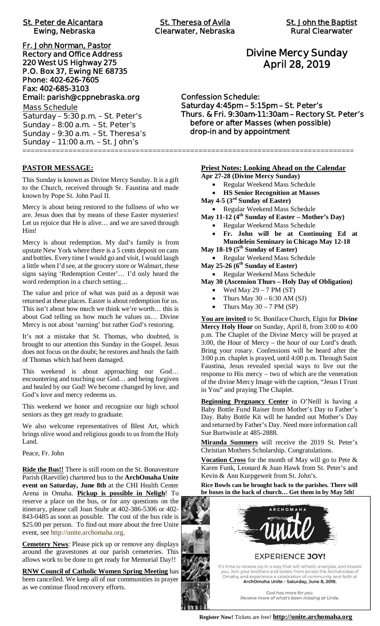| <b>St. Peter de Alcantara</b><br><b>Ewing, Nebraska</b>                                                                                                                                                     | <b>St. Theresa of Avila</b><br><b>Clearwater, Nebraska</b>                                                                                                        | <b>St. John the Baptis</b><br><b>Rural Clearwater</b> |  |
|-------------------------------------------------------------------------------------------------------------------------------------------------------------------------------------------------------------|-------------------------------------------------------------------------------------------------------------------------------------------------------------------|-------------------------------------------------------|--|
| Fr. John Norman, Pastor<br><b>Rectory and Office Address</b><br>220 West US Highway 275<br>P.O. Box 37, Ewing NE 68735<br>Phone: 402-626-7605<br>Fax: 402-685-3103                                          | <b>Divine Mercy Sunday</b><br><b>April 28, 2019</b><br><b>Confession Schedule:</b>                                                                                |                                                       |  |
| Email: parish@cppnebraska.org<br><b>Mass Schedule</b><br>Saturday - 5:30 p.m. - St. Peter's<br>Sunday $-8:00$ a.m. $-St.$ Peter's<br>Sunday - 9:30 a.m. - St. Theresa's<br>Sunday - 11:00 a.m. - St. John's | Saturday 4:45pm - 5:15pm - St. Peter's<br>Thurs. & Fri. 9:30am-11:30am - Rectory St. Pete<br>before or after Masses (when possible)<br>drop-in and by appointment |                                                       |  |

# **Divine Mercy Sunday April 28, 2019**

**Confession Schedule: Saturday 4:45pm – 5:15pm – St. Peter's Thurs. & Fri. 9:30am-11:30am – Rectory St. Peter's before or after Masses (when possible) drop-in and by appointment**

#### **PASTOR MESSAGE:**

This Sunday is known as Divine Mercy Sunday. It is a gift to the Church, received through Sr. Faustina and made known by Pope St. John Paul II.

Mercy is about being restored to the fullness of who we are. Jesus does that by means of these Easter mysteries! Let us rejoice that He is alive… and we are saved through Him!

Mercy is about redemption. My dad's family is from upstate New York where there is a 5 cents deposit on cans and bottles. Every time I would go and visit, I would laugh a little when I'd see, at the grocery store or Walmart, these signs saying 'Redemption Center'… I'd only heard the word redemption in a church setting…

The value and price of what was paid as a deposit was returned at these places. Easter is about redemption for us. This isn't about how much we think we're worth… this is about God telling us how much he values us… Divine Mercy is not about 'earning' but rather God's restoring.

It's not a mistake that St. Thomas, who doubted, is brought to our attention this Sunday in the Gospel. Jesus does not focus on the doubt; he restores and heals the faith of Thomas which had been damaged.

This weekend is about approaching our God… encountering and touching our God… and being forgiven and healed by our God! We become changed by love, and God's love and mercy redeems us.

This weekend we honor and recognize our high school seniors as they get ready to graduate.

We also welcome representatives of Blest Art, which brings olive wood and religious goods to us from the Holy Land.

Peace, Fr. John

**Ride the Bus!!** There is still room on the St. Bonaventure Parish (Raeville) chartered bus to the **ArchOmaha Unite event on Saturday, June 8th** at the CHI Health Center Arena in Omaha. **Pickup is possible in Neligh**! To reserve a place on the bus, or for any questions on the itinerary, please call Joan Stuhr at 402-386-5306 or 402- 843-0485 as soon as possible. The cost of the bus ride is \$25.00 per person. To find out more about the free Unite event, see http://unite.archomaha.org.

**Cemetery News**: Please pick up or remove any displays around the gravestones at our parish cemeteries. This allows work to be done to get ready for Memorial Day!!

**RNW Council of Catholic Women Spring Meeting** has been cancelled. We keep all of our communities in prayer as we continue flood recovery efforts.

**Priest Notes: Looking Ahead on the Calendar**

**Apr 27-28 (Divine Mercy Sunday)**

- · Regular Weekend Mass Schedule
- · **HS Senior Recognition at Masses**
- **May 4-5 (3rd Sunday of Easter)**
	- · Regular Weekend Mass Schedule
- **May 11-12 (4th Sunday of Easter Mother's Day)**
	- · Regular Weekend Mass Schedule
- · **Fr. John will be at Continuing Ed at Mundelein Seminary in Chicago May 12-18 May 18-19 (5th Sunday of Easter)**
- · Regular Weekend Mass Schedule
- **May 25-26 (6th Sunday of Easter)** • Regular Weekend Mass Schedule

#### **May 30 (Ascension Thurs – Holy Day of Obligation)**

- Wed May  $29 7$  PM (ST)
- Thurs May  $30 6:30$  AM (SJ)
- Thurs May  $30 7$  PM (SP)

**You are invited** to St. Boniface Church, Elgin for **Divine Mercy Holy Hour** on Sunday, April 8, from 3:00 to 4:00 p.m. The Chaplet of the Divine Mercy will be prayed at 3:00, the Hour of Mercy – the hour of our Lord's death. Bring your rosary. Confessions will be heard after the 3:00 p.m. chaplet is prayed, until 4:00 p.m. Through Saint Faustina, Jesus revealed special ways to live out the response to His mercy – two of which are the veneration of the divine Mercy Image with the caption, "Jesus I Trust in You" and praying The Chaplet.

**Beginning Pregnancy Center** in O'Neill is having a Baby Bottle Fund Raiser from Mother's Day to Father's Day. Baby Bottle Kit will be handed out Mother's Day and returned by Father's Day. Need more information call Sue Burtwistle at 485-2888.

**Miranda Summers** will receive the 2019 St. Peter's Christian Mothers Scholarship. Congratulations.

**Vocation Cross** for the month of May will go to Pete & Karen Funk, Leonard & Joan Hawk from St. Peter's and Kevin & Ann Kurpgeweit from St. John's.

**Rice Bowls can be brought back to the parishes. There will be boxes in the back of church… Get them in by May 5th!**



**Register Now!** Tickets are free! **http://unite.archomaha.org**